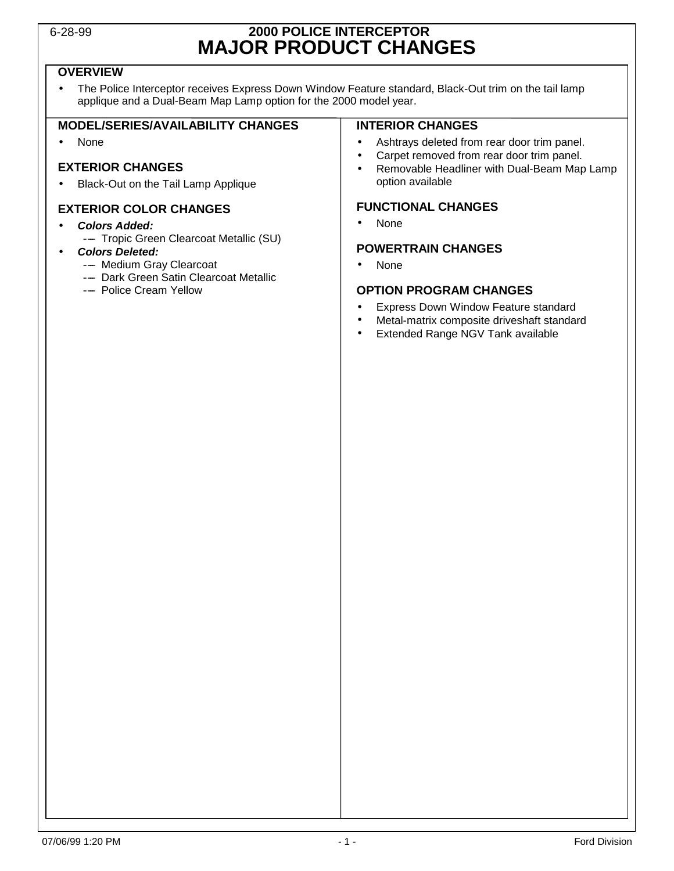### 6-28-99 **2000 POLICE INTERCEPTOR MAJOR PRODUCT CHANGES**

### **OVERVIEW**

• The Police Interceptor receives Express Down Window Feature standard, Black-Out trim on the tail lamp applique and a Dual-Beam Map Lamp option for the 2000 model year.

#### **MODEL/SERIES/AVAILABILITY CHANGES**

• None

#### **EXTERIOR CHANGES**

• Black-Out on the Tail Lamp Applique

### **EXTERIOR COLOR CHANGES**

- **Colors Added:**
	- ---- Tropic Green Clearcoat Metallic (SU)

#### • **Colors Deleted:**

- Medium Gray Clearcoat
- -- Dark Green Satin Clearcoat Metallic
- Police Cream Yellow

#### **INTERIOR CHANGES**

- Ashtrays deleted from rear door trim panel.
- Carpet removed from rear door trim panel.
- Removable Headliner with Dual-Beam Map Lamp option available

### **FUNCTIONAL CHANGES**

• None

#### **POWERTRAIN CHANGES**

• None

#### **OPTION PROGRAM CHANGES**

- Express Down Window Feature standard
- Metal-matrix composite driveshaft standard
- Extended Range NGV Tank available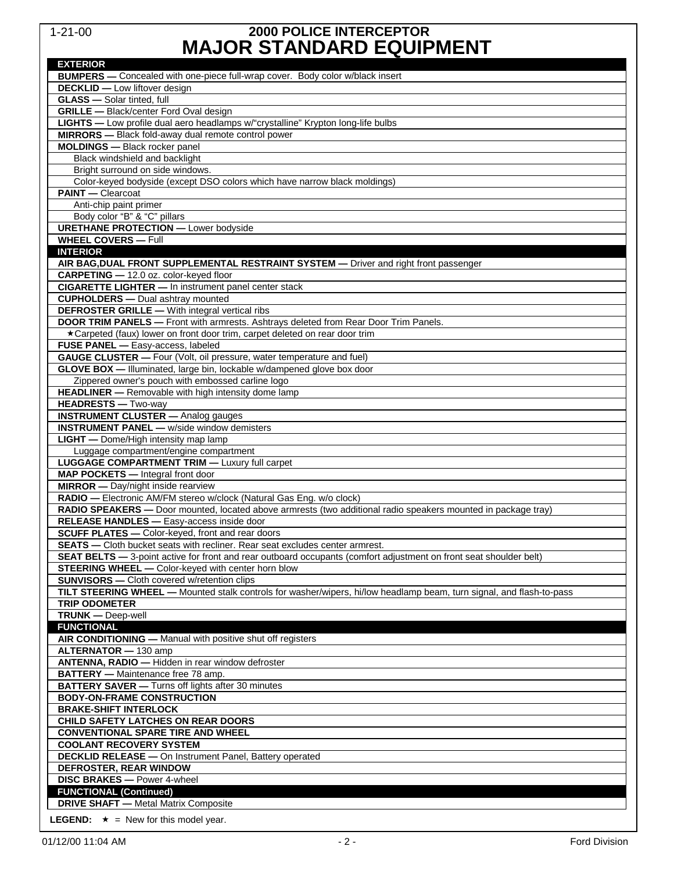### 1-21-00 **2000 POLICE INTERCEPTOR MAJOR STANDARD EQUIPMENT**

| <b>EXTERIOR</b>                                                                                                      |
|----------------------------------------------------------------------------------------------------------------------|
| BUMPERS - Concealed with one-piece full-wrap cover. Body color w/black insert                                        |
| <b>DECKLID</b> - Low liftover design                                                                                 |
| <b>GLASS</b> - Solar tinted, full                                                                                    |
| GRILLE - Black/center Ford Oval design                                                                               |
| LIGHTS - Low profile dual aero headlamps w/"crystalline" Krypton long-life bulbs                                     |
| MIRRORS - Black fold-away dual remote control power                                                                  |
| <b>MOLDINGS</b> - Black rocker panel                                                                                 |
| Black windshield and backlight                                                                                       |
| Bright surround on side windows.                                                                                     |
| Color-keyed bodyside (except DSO colors which have narrow black moldings)                                            |
| <b>PAINT</b> - Clearcoat                                                                                             |
| Anti-chip paint primer                                                                                               |
| Body color "B" & "C" pillars                                                                                         |
| <b>URETHANE PROTECTION - Lower bodyside</b>                                                                          |
| <b>WHEEL COVERS - Full</b>                                                                                           |
| <b>INTERIOR</b>                                                                                                      |
| AIR BAG, DUAL FRONT SUPPLEMENTAL RESTRAINT SYSTEM - Driver and right front passenger                                 |
| CARPETING - 12.0 oz. color-keyed floor                                                                               |
| <b>CIGARETTE LIGHTER - In instrument panel center stack</b>                                                          |
| <b>CUPHOLDERS</b> - Dual ashtray mounted                                                                             |
| <b>DEFROSTER GRILLE - With integral vertical ribs</b>                                                                |
| <b>DOOR TRIM PANELS</b> - Front with armrests. Ashtrays deleted from Rear Door Trim Panels.                          |
| *Carpeted (faux) lower on front door trim, carpet deleted on rear door trim                                          |
| FUSE PANEL - Easy-access, labeled                                                                                    |
| <b>GAUGE CLUSTER</b> - Four (Volt, oil pressure, water temperature and fuel)                                         |
| GLOVE BOX - Illuminated, large bin, lockable w/dampened glove box door                                               |
| Zippered owner's pouch with embossed carline logo                                                                    |
| HEADLINER - Removable with high intensity dome lamp                                                                  |
| <b>HEADRESTS</b> - Two-way                                                                                           |
| <b>INSTRUMENT CLUSTER - Analog gauges</b>                                                                            |
| <b>INSTRUMENT PANEL - w/side window demisters</b>                                                                    |
| <b>LIGHT</b> - Dome/High intensity map lamp                                                                          |
| Luggage compartment/engine compartment                                                                               |
| <b>LUGGAGE COMPARTMENT TRIM - Luxury full carpet</b>                                                                 |
| MAP POCKETS - Integral front door                                                                                    |
| <b>MIRROR</b> - Day/night inside rearview                                                                            |
| RADIO - Electronic AM/FM stereo w/clock (Natural Gas Eng. w/o clock)                                                 |
| RADIO SPEAKERS - Door mounted, located above armrests (two additional radio speakers mounted in package tray)        |
| RELEASE HANDLES - Easy-access inside door                                                                            |
| SCUFF PLATES - Color-keyed, front and rear doors                                                                     |
| <b>SEATS</b> - Cloth bucket seats with recliner. Rear seat excludes center armrest.                                  |
| SEAT BELTS - 3-point active for front and rear outboard occupants (comfort adjustment on front seat shoulder belt)   |
| <b>STEERING WHEEL -</b> Color-keyed with center horn blow                                                            |
| <b>SUNVISORS</b> - Cloth covered w/retention clips                                                                   |
| TILT STEERING WHEEL - Mounted stalk controls for washer/wipers, hi/low headlamp beam, turn signal, and flash-to-pass |
| <b>TRIP ODOMETER</b>                                                                                                 |
| <b>TRUNK</b> - Deep-well                                                                                             |
| <b>FUNCTIONAL</b>                                                                                                    |
| AIR CONDITIONING - Manual with positive shut off registers                                                           |
| ALTERNATOR - 130 amp                                                                                                 |
| ANTENNA, RADIO - Hidden in rear window defroster                                                                     |
| <b>BATTERY</b> - Maintenance free 78 amp.                                                                            |
| <b>BATTERY SAVER</b> - Turns off lights after 30 minutes                                                             |
| <b>BODY-ON-FRAME CONSTRUCTION</b>                                                                                    |
| <b>BRAKE-SHIFT INTERLOCK</b>                                                                                         |
| <b>CHILD SAFETY LATCHES ON REAR DOORS</b>                                                                            |
| <b>CONVENTIONAL SPARE TIRE AND WHEEL</b>                                                                             |
| <b>COOLANT RECOVERY SYSTEM</b>                                                                                       |
| <b>DECKLID RELEASE - On Instrument Panel, Battery operated</b>                                                       |
| DEFROSTER, REAR WINDOW                                                                                               |
| <b>DISC BRAKES</b> - Power 4-wheel                                                                                   |
| <b>FUNCTIONAL (Continued)</b>                                                                                        |
| <b>DRIVE SHAFT - Metal Matrix Composite</b>                                                                          |
| <b>LEGEND:</b> $\star$ = New for this model year.                                                                    |
|                                                                                                                      |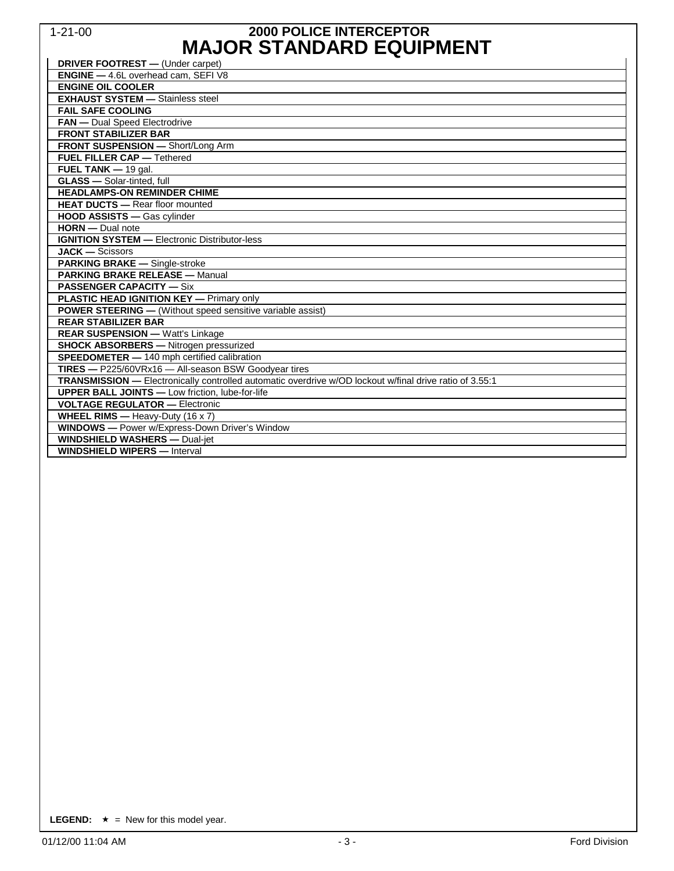### 1-21-00 **2000 POLICE INTERCEPTOR MAJOR STANDARD EQUIPMENT**

| <b>DRIVER FOOTREST</b> - (Under carpet)                                                                 |
|---------------------------------------------------------------------------------------------------------|
| <b>ENGINE</b> - 4.6L overhead cam. SEFI V8                                                              |
| <b>ENGINE OIL COOLER</b>                                                                                |
| <b>EXHAUST SYSTEM - Stainless steel</b>                                                                 |
| <b>FAIL SAFE COOLING</b>                                                                                |
| <b>FAN</b> - Dual Speed Electrodrive                                                                    |
| <b>FRONT STABILIZER BAR</b>                                                                             |
| FRONT SUSPENSION - Short/Long Arm                                                                       |
| <b>FUEL FILLER CAP - Tethered</b>                                                                       |
| FUEL TANK $-$ 19 gal.                                                                                   |
| <b>GLASS</b> - Solar-tinted, full                                                                       |
| <b>HEADLAMPS-ON REMINDER CHIME</b>                                                                      |
| <b>HEAT DUCTS - Rear floor mounted</b>                                                                  |
| <b>HOOD ASSISTS - Gas cylinder</b>                                                                      |
| <b>HORN</b> - Dual note                                                                                 |
| <b>IGNITION SYSTEM - Electronic Distributor-less</b>                                                    |
| $JACK - Scissors$                                                                                       |
| <b>PARKING BRAKE - Single-stroke</b>                                                                    |
| <b>PARKING BRAKE RELEASE - Manual</b>                                                                   |
| <b>PASSENGER CAPACITY - Six</b>                                                                         |
| <b>PLASTIC HEAD IGNITION KEY - Primary only</b>                                                         |
| <b>POWER STEERING</b> - (Without speed sensitive variable assist)                                       |
| <b>REAR STABILIZER BAR</b>                                                                              |
| <b>REAR SUSPENSION - Watt's Linkage</b>                                                                 |
| <b>SHOCK ABSORBERS</b> - Nitrogen pressurized                                                           |
| <b>SPEEDOMETER</b> $- 140$ mph certified calibration                                                    |
| TIRES - P225/60VRx16 - All-season BSW Goodyear tires                                                    |
| TRANSMISSION - Electronically controlled automatic overdrive w/OD lockout w/final drive ratio of 3.55:1 |
| <b>UPPER BALL JOINTS</b> - Low friction, lube-for-life                                                  |
| <b>VOLTAGE REGULATOR - Electronic</b>                                                                   |
| <b>WHEEL RIMS</b> - Heavy-Duty (16 x 7)                                                                 |
| <b>WINDOWS</b> - Power w/Express-Down Driver's Window                                                   |
| <b>WINDSHIELD WASHERS - Dual-jet</b>                                                                    |
| <b>WINDSHIELD WIPERS - Interval</b>                                                                     |

**LEGEND:**  $\star$  = New for this model year.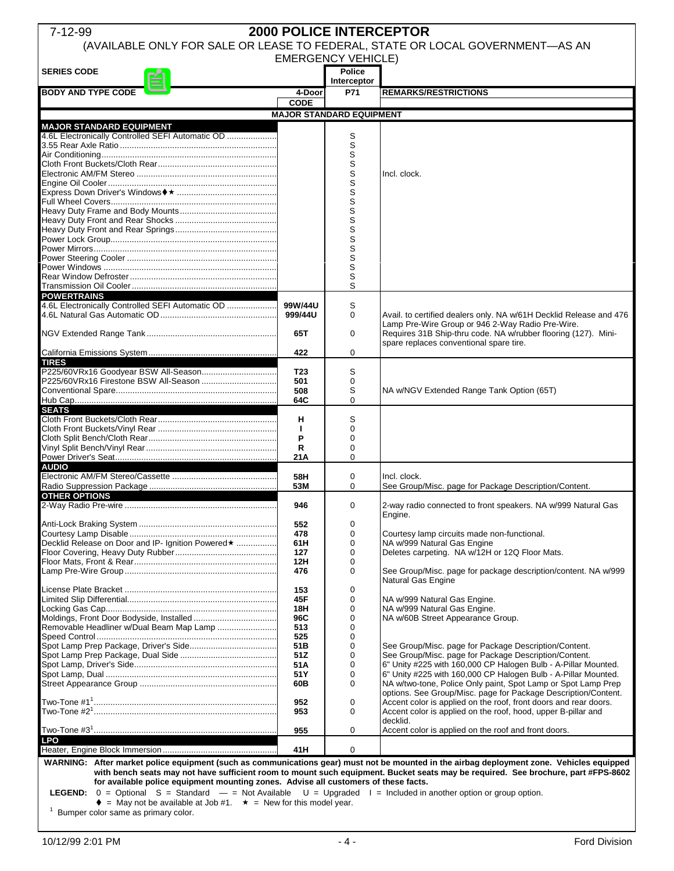| <b>2000 POLICE INTERCEPTOR</b><br>7-12-99                                           |                 |                    |                                                                                                                                           |  |  |  |
|-------------------------------------------------------------------------------------|-----------------|--------------------|-------------------------------------------------------------------------------------------------------------------------------------------|--|--|--|
| (AVAILABLE ONLY FOR SALE OR LEASE TO FEDERAL, STATE OR LOCAL GOVERNMENT-AS AN       |                 |                    |                                                                                                                                           |  |  |  |
| <b>EMERGENCY VEHICLE)</b>                                                           |                 |                    |                                                                                                                                           |  |  |  |
| <b>SERIES CODE</b>                                                                  |                 | <b>Police</b>      |                                                                                                                                           |  |  |  |
| <b>BODY AND TYPE CODE</b>                                                           | 4-Door          | Interceptor<br>P71 | <b>REMARKS/RESTRICTIONS</b>                                                                                                               |  |  |  |
|                                                                                     | <b>CODE</b>     |                    |                                                                                                                                           |  |  |  |
| <b>MAJOR STANDARD EQUIPMENT</b>                                                     |                 |                    |                                                                                                                                           |  |  |  |
| <b>MAJOR STANDARD EQUIPMENT</b>                                                     |                 |                    |                                                                                                                                           |  |  |  |
| 4.6L Electronically Controlled SEFI Automatic OD                                    |                 | S                  |                                                                                                                                           |  |  |  |
|                                                                                     |                 | S                  |                                                                                                                                           |  |  |  |
|                                                                                     |                 | S<br>S             |                                                                                                                                           |  |  |  |
|                                                                                     |                 | S                  | Incl. clock.                                                                                                                              |  |  |  |
|                                                                                     |                 | S                  |                                                                                                                                           |  |  |  |
|                                                                                     |                 | S                  |                                                                                                                                           |  |  |  |
|                                                                                     |                 | S<br>S             |                                                                                                                                           |  |  |  |
|                                                                                     |                 | S                  |                                                                                                                                           |  |  |  |
|                                                                                     |                 | S                  |                                                                                                                                           |  |  |  |
|                                                                                     |                 | S                  |                                                                                                                                           |  |  |  |
|                                                                                     |                 | S<br>S             |                                                                                                                                           |  |  |  |
|                                                                                     |                 | S                  |                                                                                                                                           |  |  |  |
|                                                                                     |                 | S                  |                                                                                                                                           |  |  |  |
|                                                                                     |                 | S                  |                                                                                                                                           |  |  |  |
| <b>POWERTRAINS</b><br>4.6L Electronically Controlled SEFI Automatic OD              | 99W/44U         | S                  |                                                                                                                                           |  |  |  |
|                                                                                     | 999/44U         | $\Omega$           | Avail. to certified dealers only. NA w/61H Decklid Release and 476                                                                        |  |  |  |
|                                                                                     |                 |                    | Lamp Pre-Wire Group or 946 2-Way Radio Pre-Wire.                                                                                          |  |  |  |
|                                                                                     | 65T             | 0                  | Requires 31B Ship-thru code. NA w/rubber flooring (127). Mini-                                                                            |  |  |  |
|                                                                                     | 422             | $\Omega$           | spare replaces conventional spare tire.                                                                                                   |  |  |  |
| <b>TIRES</b>                                                                        |                 |                    |                                                                                                                                           |  |  |  |
|                                                                                     | T <sub>23</sub> | S                  |                                                                                                                                           |  |  |  |
|                                                                                     | 501             | 0                  |                                                                                                                                           |  |  |  |
|                                                                                     | 508<br>64C      | S<br>$\Omega$      | NA w/NGV Extended Range Tank Option (65T)                                                                                                 |  |  |  |
| <b>SEATS</b>                                                                        |                 |                    |                                                                                                                                           |  |  |  |
|                                                                                     | н               | S                  |                                                                                                                                           |  |  |  |
|                                                                                     | $\mathbf{I}$    | 0                  |                                                                                                                                           |  |  |  |
|                                                                                     | P<br>R          | 0<br>0             |                                                                                                                                           |  |  |  |
|                                                                                     | 21A             | $\Omega$           |                                                                                                                                           |  |  |  |
| <b>AUDIO</b>                                                                        |                 |                    |                                                                                                                                           |  |  |  |
|                                                                                     | 58H             | 0                  | Incl. clock.                                                                                                                              |  |  |  |
| <b>OTHER OPTIONS</b>                                                                | 53M             | $\Omega$           | See Group/Misc. page for Package Description/Content.                                                                                     |  |  |  |
|                                                                                     | 946             | 0                  | 2-way radio connected to front speakers. NA w/999 Natural Gas                                                                             |  |  |  |
|                                                                                     |                 |                    | Engine.                                                                                                                                   |  |  |  |
|                                                                                     | 552             | $\mathbf 0$        |                                                                                                                                           |  |  |  |
| Decklid Release on Door and IP- Ignition Powered★                                   | 478<br>61H      | 0<br>0             | Courtesy lamp circuits made non-functional.<br>NA w/999 Natural Gas Engine                                                                |  |  |  |
|                                                                                     | 127             | 0                  | Deletes carpeting. NA w/12H or 12Q Floor Mats.                                                                                            |  |  |  |
|                                                                                     | 12H             | 0                  |                                                                                                                                           |  |  |  |
|                                                                                     | 476             | 0                  | See Group/Misc. page for package description/content. NA w/999                                                                            |  |  |  |
|                                                                                     | 153             | 0                  | Natural Gas Engine                                                                                                                        |  |  |  |
|                                                                                     | 45F             | 0                  | NA w/999 Natural Gas Engine.                                                                                                              |  |  |  |
|                                                                                     | 18H             | 0                  | NA w/999 Natural Gas Engine.                                                                                                              |  |  |  |
| Removable Headliner w/Dual Beam Map Lamp                                            | 96C             | $\mathbf 0$        | NA w/60B Street Appearance Group.                                                                                                         |  |  |  |
|                                                                                     | 513<br>525      | 0<br>0             |                                                                                                                                           |  |  |  |
|                                                                                     | 51B             | 0                  | See Group/Misc. page for Package Description/Content.                                                                                     |  |  |  |
|                                                                                     | 51Z             | 0                  | See Group/Misc. page for Package Description/Content.                                                                                     |  |  |  |
|                                                                                     | 51A<br>51Y      | 0<br>0             | 6" Unity #225 with 160,000 CP Halogen Bulb - A-Pillar Mounted.<br>6" Unity #225 with 160,000 CP Halogen Bulb - A-Pillar Mounted.          |  |  |  |
|                                                                                     | 60B             | 0                  | NA w/two-tone, Police Only paint, Spot Lamp or Spot Lamp Prep                                                                             |  |  |  |
|                                                                                     |                 |                    | options. See Group/Misc. page for Package Description/Content.                                                                            |  |  |  |
|                                                                                     | 952             | $\mathbf 0$        | Accent color is applied on the roof, front doors and rear doors.                                                                          |  |  |  |
|                                                                                     | 953             | 0                  | Accent color is applied on the roof, hood, upper B-pillar and<br>decklid.                                                                 |  |  |  |
|                                                                                     | 955             | 0                  | Accent color is applied on the roof and front doors.                                                                                      |  |  |  |
| <b>LPO</b>                                                                          |                 |                    |                                                                                                                                           |  |  |  |
|                                                                                     | 41H             | 0                  |                                                                                                                                           |  |  |  |
|                                                                                     |                 |                    | WARNING: After market police equipment (such as communications gear) must not be mounted in the airbag deployment zone. Vehicles equipped |  |  |  |
| for available police equipment mounting zones. Advise all customers of these facts. |                 |                    | with bench seats may not have sufficient room to mount such equipment. Bucket seats may be required. See brochure, part #FPS-8602         |  |  |  |
|                                                                                     |                 |                    |                                                                                                                                           |  |  |  |

**LEGEND:** 0 = Optional S = Standard — = Not Available U = Upgraded I = Included in another option or group option.

 $\bullet$  = May not be available at Job #1.  $\star$  = New for this model year.<br><sup>1</sup> Bumper color same as primary color.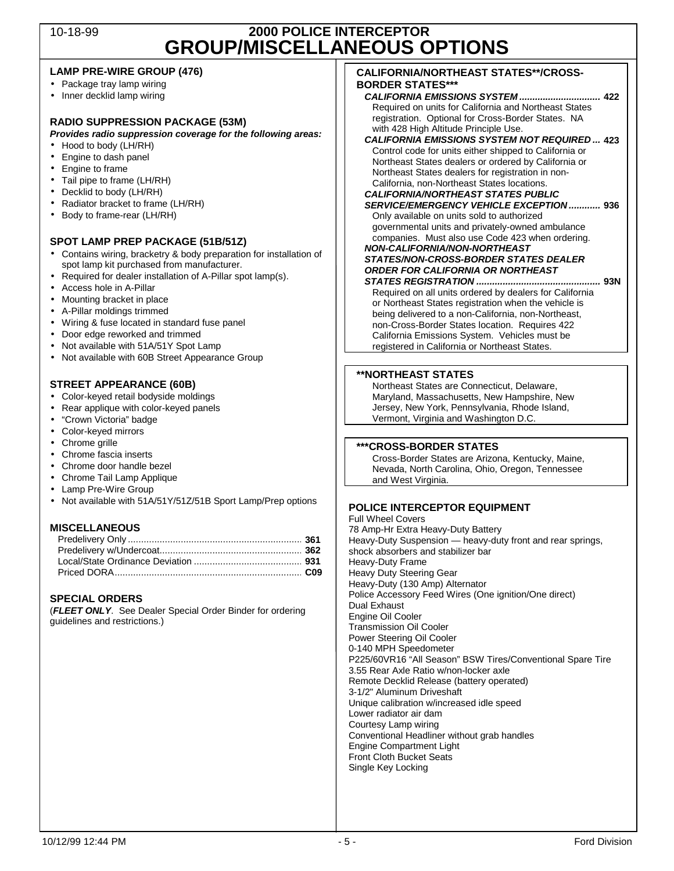### 10-18-99 **2000 POLICE INTERCEPTOR GROUP/MISCELLANEOUS OPTIONS**

#### **LAMP PRE-WIRE GROUP (476)**

- Package tray lamp wiring
- Inner decklid lamp wiring

#### **RADIO SUPPRESSION PACKAGE (53M)**

**Provides radio suppression coverage for the following areas:**

- Hood to body (LH/RH)
- Engine to dash panel
- Engine to frame
- Tail pipe to frame (LH/RH)
- Decklid to body (LH/RH)
- Radiator bracket to frame (LH/RH)
- Body to frame-rear (LH/RH)

#### **SPOT LAMP PREP PACKAGE (51B/51Z)**

- Contains wiring, bracketry & body preparation for installation of spot lamp kit purchased from manufacturer.
- Required for dealer installation of A-Pillar spot lamp(s).
- Access hole in A-Pillar
- Mounting bracket in place
- A-Pillar moldings trimmed
- Wiring & fuse located in standard fuse panel
- Door edge reworked and trimmed
- Not available with 51A/51Y Spot Lamp
- Not available with 60B Street Appearance Group

#### **STREET APPEARANCE (60B)**

- Color-keyed retail bodyside moldings
- Rear applique with color-keyed panels
- "Crown Victoria" badge
- Color-keyed mirrors
- Chrome grille
- Chrome fascia inserts
- Chrome door handle bezel
- Chrome Tail Lamp Applique
- Lamp Pre-Wire Group
- Not available with 51A/51Y/51Z/51B Sport Lamp/Prep options

#### **MISCELLANEOUS**

#### **SPECIAL ORDERS**

(**FLEET ONLY**. See Dealer Special Order Binder for ordering guidelines and restrictions.)

#### **CALIFORNIA/NORTHEAST STATES\*\*/CROSS-BORDER STATES\*\*\***

**CALIFORNIA EMISSIONS SYSTEM ............................... 422**  Required on units for California and Northeast States registration. Optional for Cross-Border States. NA with 428 High Altitude Principle Use.

#### **CALIFORNIA EMISSIONS SYSTEM NOT REQUIRED ... 423**  Control code for units either shipped to California or

Northeast States dealers or ordered by California or Northeast States dealers for registration in non-California, non-Northeast States locations. **CALIFORNIA/NORTHEAST STATES PUBLIC** 

**SERVICE/EMERGENCY VEHICLE EXCEPTION ............ 936**  Only available on units sold to authorized governmental units and privately-owned ambulance

companies. Must also use Code 423 when ordering. **NON-CALIFORNIA/NON-NORTHEAST** 

### **STATES/NON-CROSS-BORDER STATES DEALER ORDER FOR CALIFORNIA OR NORTHEAST**

**STATES REGISTRATION ............................................... 93N**  Required on all units ordered by dealers for California

or Northeast States registration when the vehicle is being delivered to a non-California, non-Northeast, non-Cross-Border States location. Requires 422 California Emissions System. Vehicles must be registered in California or Northeast States.

#### **\*\*NORTHEAST STATES**

Northeast States are Connecticut, Delaware, Maryland, Massachusetts, New Hampshire, New Jersey, New York, Pennsylvania, Rhode Island, Vermont, Virginia and Washington D.C.

#### **\*\*\*CROSS-BORDER STATES**

Cross-Border States are Arizona, Kentucky, Maine, Nevada, North Carolina, Ohio, Oregon, Tennessee and West Virginia.

#### **POLICE INTERCEPTOR EQUIPMENT**

Full Wheel Covers 78 Amp-Hr Extra Heavy-Duty Battery Heavy-Duty Suspension — heavy-duty front and rear springs, shock absorbers and stabilizer bar Heavy-Duty Frame Heavy Duty Steering Gear Heavy-Duty (130 Amp) Alternator Police Accessory Feed Wires (One ignition/One direct) Dual Exhaust Engine Oil Cooler Transmission Oil Cooler Power Steering Oil Cooler 0-140 MPH Speedometer P225/60VR16 "All Season" BSW Tires/Conventional Spare Tire 3.55 Rear Axle Ratio w/non-locker axle Remote Decklid Release (battery operated) 3-1/2" Aluminum Driveshaft Unique calibration w/increased idle speed Lower radiator air dam Courtesy Lamp wiring Conventional Headliner without grab handles Engine Compartment Light Front Cloth Bucket Seats Single Key Locking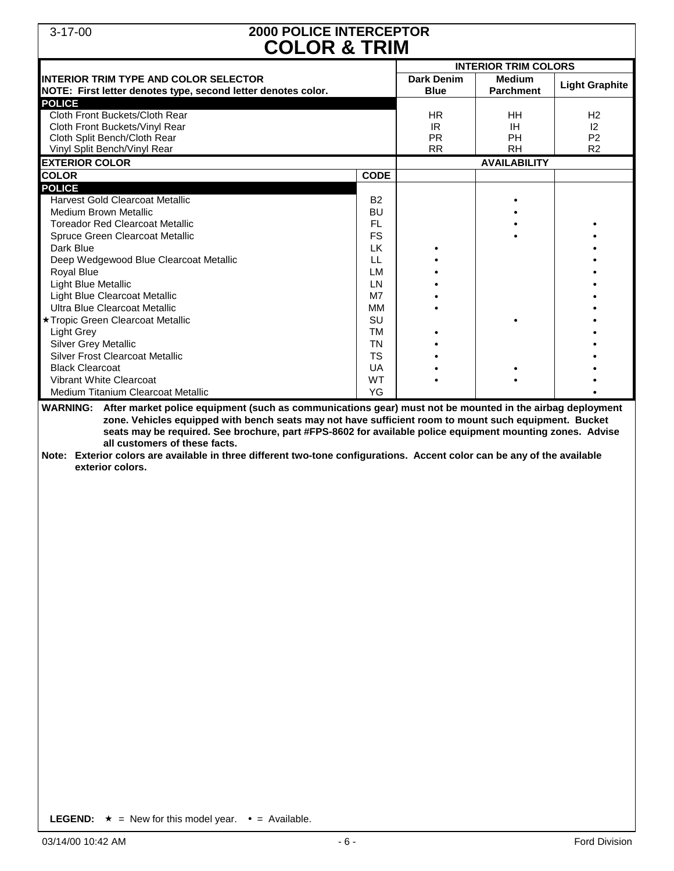### 3-17-00 **2000 POLICE INTERCEPTOR COLOR & TRIM**

|                                                                                                                                                                                                                                                                                                                                                                                                                                                                                                                                          | <b>COLOR &amp; IRIM</b>                                                                                                                                    |                                            |                                    |                                                                   |  |  |  |
|------------------------------------------------------------------------------------------------------------------------------------------------------------------------------------------------------------------------------------------------------------------------------------------------------------------------------------------------------------------------------------------------------------------------------------------------------------------------------------------------------------------------------------------|------------------------------------------------------------------------------------------------------------------------------------------------------------|--------------------------------------------|------------------------------------|-------------------------------------------------------------------|--|--|--|
|                                                                                                                                                                                                                                                                                                                                                                                                                                                                                                                                          |                                                                                                                                                            | <b>INTERIOR TRIM COLORS</b>                |                                    |                                                                   |  |  |  |
| <b>INTERIOR TRIM TYPE AND COLOR SELECTOR</b><br>NOTE: First letter denotes type, second letter denotes color.                                                                                                                                                                                                                                                                                                                                                                                                                            |                                                                                                                                                            | <b>Dark Denim</b><br><b>Blue</b>           | <b>Medium</b><br><b>Parchment</b>  | <b>Light Graphite</b>                                             |  |  |  |
| <b>POLICE</b><br>Cloth Front Buckets/Cloth Rear<br>Cloth Front Buckets/Vinyl Rear<br>Cloth Split Bench/Cloth Rear<br>Vinyl Split Bench/Vinyl Rear                                                                                                                                                                                                                                                                                                                                                                                        |                                                                                                                                                            | <b>HR</b><br>IR.<br><b>PR</b><br><b>RR</b> | HH<br><b>IH</b><br>PH<br><b>RH</b> | H <sub>2</sub><br>$ 2\rangle$<br>P <sub>2</sub><br>R <sub>2</sub> |  |  |  |
| <b>EXTERIOR COLOR</b>                                                                                                                                                                                                                                                                                                                                                                                                                                                                                                                    |                                                                                                                                                            |                                            | <b>AVAILABILITY</b>                |                                                                   |  |  |  |
| <b>COLOR</b>                                                                                                                                                                                                                                                                                                                                                                                                                                                                                                                             | <b>CODE</b>                                                                                                                                                |                                            |                                    |                                                                   |  |  |  |
| <b>POLICE</b>                                                                                                                                                                                                                                                                                                                                                                                                                                                                                                                            |                                                                                                                                                            |                                            |                                    |                                                                   |  |  |  |
| <b>Harvest Gold Clearcoat Metallic</b><br><b>Medium Brown Metallic</b><br><b>Toreador Red Clearcoat Metallic</b><br>Spruce Green Clearcoat Metallic<br>Dark Blue<br>Deep Wedgewood Blue Clearcoat Metallic<br>Royal Blue<br>Light Blue Metallic<br>Light Blue Clearcoat Metallic<br>Ultra Blue Clearcoat Metallic<br>★ Tropic Green Clearcoat Metallic<br>Light Grey<br>Silver Grey Metallic<br><b>Silver Frost Clearcoat Metallic</b><br><b>Black Clearcoat</b><br><b>Vibrant White Clearcoat</b><br>Medium Titanium Clearcoat Metallic | <b>B2</b><br>BU<br>FL<br><b>FS</b><br><b>LK</b><br>LL<br>LM<br><b>LN</b><br>M7<br>MM<br>SU<br><b>TM</b><br><b>TN</b><br><b>TS</b><br>UA<br><b>WT</b><br>YG |                                            |                                    |                                                                   |  |  |  |
| WARNING: After market police equipment (such as communications gear) must not be mounted in the airbag deployment<br>zone. Vehicles equipped with bench seats may not have sufficient room to mount such equipment. Bucket<br>seats may be required. See brochure, part #FPS-8602 for available police equipment mounting zones. Advise<br>all customers of these facts.<br>Note: Exterior colors are available in three different two-tone configurations. Accent color can be any of the available<br>exterior colors.                 |                                                                                                                                                            |                                            |                                    |                                                                   |  |  |  |

**LEGEND:**  $\star$  = New for this model year.  $\bullet$  = Available.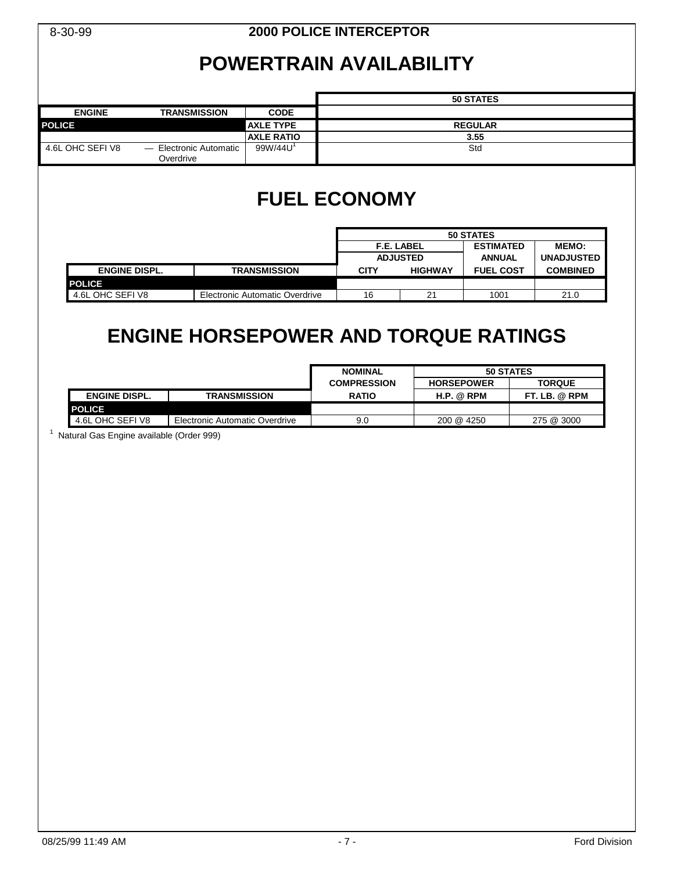|                                                                  | <b>2000 POLICE INTERCEPTOR</b><br>8-30-99                           |                                                      |                                 |                                   |                                             |  |  |
|------------------------------------------------------------------|---------------------------------------------------------------------|------------------------------------------------------|---------------------------------|-----------------------------------|---------------------------------------------|--|--|
|                                                                  | <b>POWERTRAIN AVAILABILITY</b>                                      |                                                      |                                 |                                   |                                             |  |  |
|                                                                  |                                                                     |                                                      |                                 | 50 STATES                         |                                             |  |  |
| <b>ENGINE</b><br><b>POLICE</b>                                   | <b>TRANSMISSION</b><br><b>CODE</b><br><b>AXLE TYPE</b>              |                                                      |                                 | <b>REGULAR</b>                    |                                             |  |  |
| 4.6L OHC SEFIV8                                                  | <b>AXLE RATIO</b><br>99W/44U <sup>1</sup><br>- Electronic Automatic |                                                      | 3.55                            |                                   |                                             |  |  |
|                                                                  | Overdrive                                                           |                                                      |                                 | Std                               |                                             |  |  |
|                                                                  |                                                                     | <b>FUEL ECONOMY</b>                                  |                                 |                                   |                                             |  |  |
|                                                                  |                                                                     | F.E. LABEL                                           |                                 | 50 STATES                         |                                             |  |  |
|                                                                  |                                                                     | <b>ADJUSTED</b>                                      |                                 | <b>ESTIMATED</b><br><b>ANNUAL</b> | MEMO:<br><b>UNADJUSTED</b>                  |  |  |
| <b>ENGINE DISPL.</b>                                             | <b>TRANSMISSION</b>                                                 | <b>CITY</b>                                          | <b>HIGHWAY</b>                  | <b>FUEL COST</b>                  | <b>COMBINED</b>                             |  |  |
| <b>POLICE</b><br>4.6L OHC SEFIV8                                 | Electronic Automatic Overdrive                                      | 16                                                   | 21                              | 1001                              | 21.0                                        |  |  |
|                                                                  |                                                                     |                                                      |                                 |                                   |                                             |  |  |
| <b>ENGINE DISPL.</b>                                             | <b>TRANSMISSION</b>                                                 | <b>NOMINAL</b><br><b>COMPRESSION</b><br><b>RATIO</b> | <b>HORSEPOWER</b><br>H.P. @ RPM |                                   | 50 STATES<br><b>TORQUE</b><br>FT. LB. @ RPM |  |  |
| <b>POLICE</b>                                                    |                                                                     |                                                      |                                 |                                   |                                             |  |  |
| 4.6L OHC SEFIV8<br>1<br>Natural Gas Engine available (Order 999) | Electronic Automatic Overdrive                                      | 9.0                                                  | 200 @ 4250                      |                                   | 275 @ 3000                                  |  |  |
|                                                                  |                                                                     |                                                      |                                 |                                   |                                             |  |  |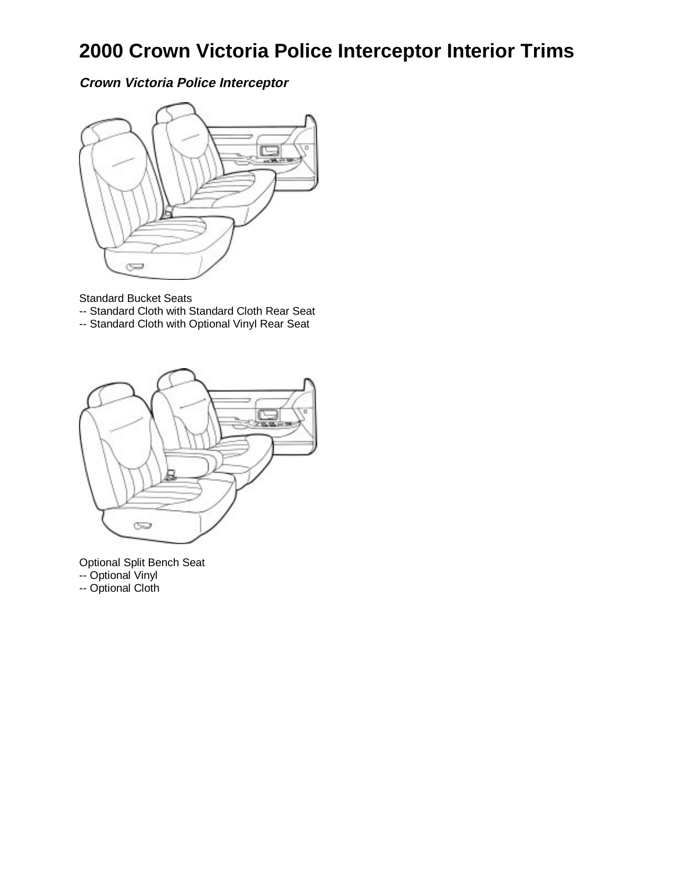# **2000 Crown Victoria Police Interceptor Interior Trims**

**Crown Victoria Police Interceptor**



Standard Bucket Seats

- -- Standard Cloth with Standard Cloth Rear Seat
- -- Standard Cloth with Optional Vinyl Rear Seat



Optional Split Bench Seat -- Optional Vinyl -- Optional Cloth